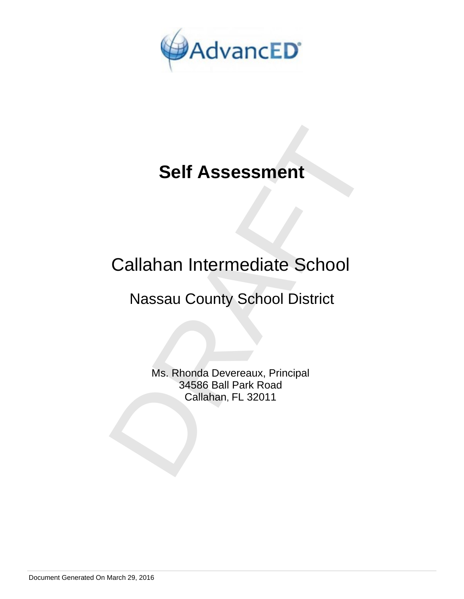

# Callahan Intermediate School

# Nassau County School District

Self Assessment<br>
Callahan Intermediate School<br>
Nassau County School District<br>
Ms. Rhonda Devereaux, Principal<br>
34586 Ball Park Road<br>
Callahan, FL 32011 Ms. Rhonda Devereaux, Principal 34586 Ball Park Road Callahan, FL 32011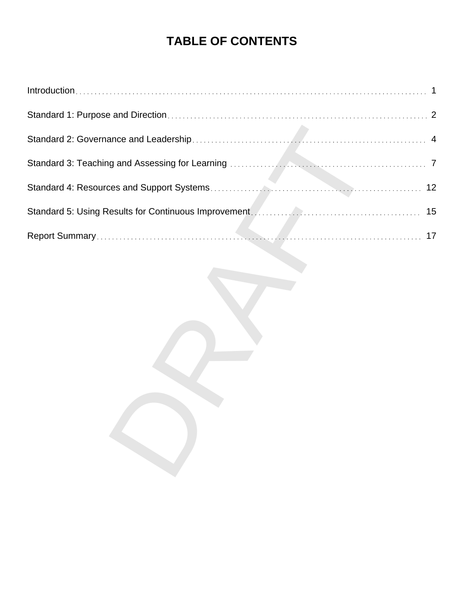# **TABLE OF CONTENTS**

| 17 |
|----|
|    |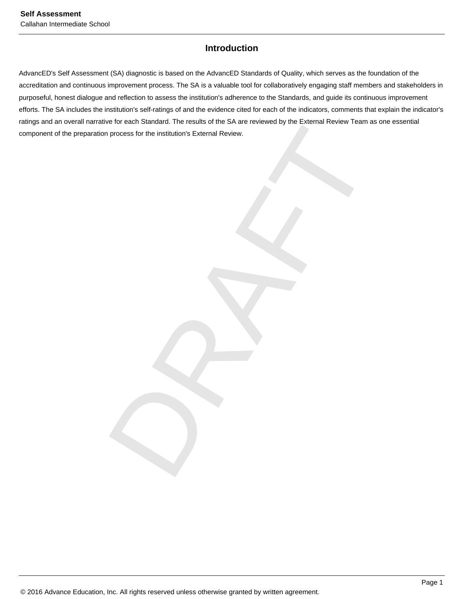## **Introduction**

Process for the institution's External Review. AdvancED's Self Assessment (SA) diagnostic is based on the AdvancED Standards of Quality, which serves as the foundation of the accreditation and continuous improvement process. The SA is a valuable tool for collaboratively engaging staff members and stakeholders in purposeful, honest dialogue and reflection to assess the institution's adherence to the Standards, and guide its continuous improvement efforts. The SA includes the institution's self-ratings of and the evidence cited for each of the indicators, comments that explain the indicator's ratings and an overall narrative for each Standard. The results of the SA are reviewed by the External Review Team as one essential component of the preparation process for the institution's External Review.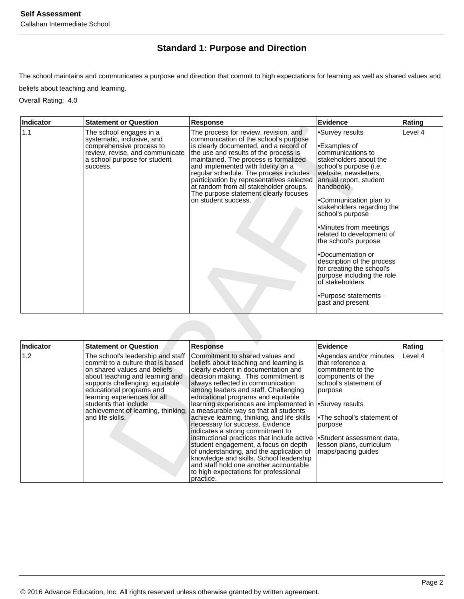## **Standard 1: Purpose and Direction**

The school maintains and communicates a purpose and direction that commit to high expectations for learning as well as shared values and beliefs about teaching and learning.

Overall Rating: 4.0

| Indicator | <b>Statement or Question</b>                                                                                                                                                                                                                                                                                                | Response                                                                                                                                                                                                                                                                                                                                                                                                                                                                                                                                                                                                                                                                                                                                               | <b>Evidence</b>                                                                                                                                                                                                                                                                                                                                                                                                                                                                                                   | Rating  |
|-----------|-----------------------------------------------------------------------------------------------------------------------------------------------------------------------------------------------------------------------------------------------------------------------------------------------------------------------------|--------------------------------------------------------------------------------------------------------------------------------------------------------------------------------------------------------------------------------------------------------------------------------------------------------------------------------------------------------------------------------------------------------------------------------------------------------------------------------------------------------------------------------------------------------------------------------------------------------------------------------------------------------------------------------------------------------------------------------------------------------|-------------------------------------------------------------------------------------------------------------------------------------------------------------------------------------------------------------------------------------------------------------------------------------------------------------------------------------------------------------------------------------------------------------------------------------------------------------------------------------------------------------------|---------|
| 1.1       | The school engages in a<br>systematic, inclusive, and<br>comprehensive process to<br>review, revise, and communicate<br>a school purpose for student<br>success.                                                                                                                                                            | The process for review, revision, and<br>communication of the school's purpose<br>is clearly documented, and a record of<br>the use and results of the process is<br>maintained. The process is formalized<br>and implemented with fidelity on a<br>regular schedule. The process includes<br>participation by representatives selected<br>at random from all stakeholder groups.<br>The purpose statement clearly focuses<br>on student success.                                                                                                                                                                                                                                                                                                      | •Survey results<br>•Examples of<br>communications to<br>stakeholders about the<br>school's purpose (i.e.<br>website, newsletters,<br>annual report, student<br>handbook)<br>•Communication plan to<br>stakeholders regarding the<br>school's purpose<br>•Minutes from meetings<br>related to development of<br>the school's purpose<br>•Documentation or<br>description of the process<br>for creating the school's<br>purpose including the role<br>of stakeholders<br>•Purpose statements -<br>past and present | Level 4 |
|           |                                                                                                                                                                                                                                                                                                                             |                                                                                                                                                                                                                                                                                                                                                                                                                                                                                                                                                                                                                                                                                                                                                        |                                                                                                                                                                                                                                                                                                                                                                                                                                                                                                                   |         |
| Indicator | <b>Statement or Question</b>                                                                                                                                                                                                                                                                                                | <b>Response</b>                                                                                                                                                                                                                                                                                                                                                                                                                                                                                                                                                                                                                                                                                                                                        | <b>Evidence</b>                                                                                                                                                                                                                                                                                                                                                                                                                                                                                                   | Rating  |
| 1.2       | The school's leadership and staff<br>commit to a culture that is based<br>on shared values and beliefs<br>about teaching and learning and<br>supports challenging, equitable<br>educational programs and<br>learning experiences for all<br>students that include<br>achievement of learning, thinking,<br>and life skills. | Commitment to shared values and<br>beliefs about teaching and learning is<br>clearly evident in documentation and<br>decision making. This commitment is<br>always reflected in communication<br>among leaders and staff. Challenging<br>educational programs and equitable<br>learning experiences are implemented in<br>a measurable way so that all students<br>achieve learning, thinking, and life skills<br>necessary for success. Evidence<br>indicates a strong commitment to<br>instructional practices that include active<br>student engagement, a focus on depth<br>of understanding, and the application of<br>knowledge and skills. School leadership<br>and staff hold one another accountable<br>to high expectations for professional | •Agendas and/or minutes<br>that reference a<br>commitment to the<br>components of the<br>school's statement of<br>purpose<br>•Survey results<br>.The school's statement of<br>purpose<br>•Student assessment data,<br>lesson plans, curriculum<br>maps/pacing guides                                                                                                                                                                                                                                              | Level 4 |

| Indicator | <b>Statement or Question</b>                                                                                                                                                                                                                                                                                                 | <b>Response</b>                                                                                                                                                                                                                                                                                                                                                                                                                                                                                                                                                                                                                                                                                                                                                     | Evidence                                                                                                                                                                                                                                                                       | Rating  |
|-----------|------------------------------------------------------------------------------------------------------------------------------------------------------------------------------------------------------------------------------------------------------------------------------------------------------------------------------|---------------------------------------------------------------------------------------------------------------------------------------------------------------------------------------------------------------------------------------------------------------------------------------------------------------------------------------------------------------------------------------------------------------------------------------------------------------------------------------------------------------------------------------------------------------------------------------------------------------------------------------------------------------------------------------------------------------------------------------------------------------------|--------------------------------------------------------------------------------------------------------------------------------------------------------------------------------------------------------------------------------------------------------------------------------|---------|
| 1.2       | The school's leadership and staff<br>commit to a culture that is based<br>on shared values and beliefs<br>about teaching and learning and<br>supports challenging, equitable<br>educational programs and<br>learning experiences for all<br>students that include<br>achievement of learning, thinking,<br>land life skills. | Commitment to shared values and<br>beliefs about teaching and learning is<br>clearly evident in documentation and<br>decision making. This commitment is<br>always reflected in communication<br>among leaders and staff. Challenging<br>educational programs and equitable<br>learning experiences are implemented in<br>a measurable way so that all students<br>achieve learning, thinking, and life skills<br>necessary for success. Evidence<br>indicates a strong commitment to<br>instructional practices that include active<br>student engagement, a focus on depth<br>of understanding, and the application of<br>knowledge and skills. School leadership<br>and staff hold one another accountable<br>to high expectations for professional<br>practice. | •Agendas and/or minutes<br>that reference a<br>commitment to the<br>components of the<br>school's statement of<br>purpose<br>Survey results <sup></sup><br>The school's statement of<br>purpose<br>•Student assessment data,<br>lesson plans, curriculum<br>maps/pacing guides | Level 4 |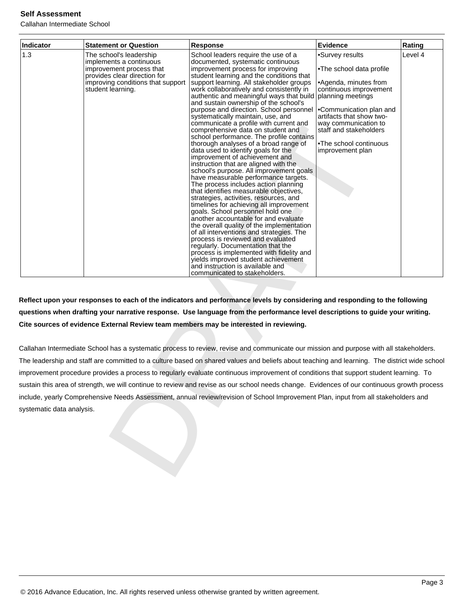Callahan Intermediate School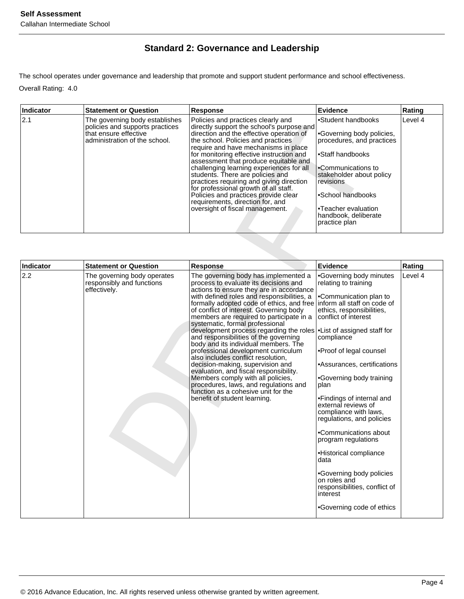## **Standard 2: Governance and Leadership**

The school operates under governance and leadership that promote and support student performance and school effectiveness. Overall Rating: 4.0

| <b>Indicator</b> | <b>Statement or Question</b>                                                                                                | <b>Response</b>                                                                                                                                                                                                                                                                                                                                                                                                                                                                                                                                                                    | Evidence                                                                                                                                                                                                                                             | Rating  |
|------------------|-----------------------------------------------------------------------------------------------------------------------------|------------------------------------------------------------------------------------------------------------------------------------------------------------------------------------------------------------------------------------------------------------------------------------------------------------------------------------------------------------------------------------------------------------------------------------------------------------------------------------------------------------------------------------------------------------------------------------|------------------------------------------------------------------------------------------------------------------------------------------------------------------------------------------------------------------------------------------------------|---------|
| 2.1              | The governing body establishes<br>policies and supports practices<br>that ensure effective<br>administration of the school. | Policies and practices clearly and<br>directly support the school's purpose and<br>direction and the effective operation of<br>the school. Policies and practices<br>require and have mechanisms in place<br>for monitoring effective instruction and<br>assessment that produce equitable and<br>challenging learning experiences for all<br>students. There are policies and<br>practices requiring and giving direction<br>for professional growth of all staff.<br>Policies and practices provide clear<br>requirements, direction for, and<br>oversight of fiscal management. | •Student handbooks<br>•Governing body policies,<br>procedures, and practices<br>•Staff handbooks<br>•Communications to<br>stakeholder about policy<br>revisions<br>•School handbooks<br>•Teacher evaluation<br>handbook, deliberate<br>practice plan | Level 4 |

|           | policies and supports practices<br>that ensure effective<br>administration of the school. | directly support the school's purpose and<br>direction and the effective operation of<br>the school. Policies and practices<br>require and have mechanisms in place<br>for monitoring effective instruction and<br>assessment that produce equitable and<br>challenging learning experiences for all<br>students. There are policies and<br>practices requiring and giving direction<br>for professional growth of all staff.<br>Policies and practices provide clear<br>requirements, direction for, and<br>oversight of fiscal management.                                                                                                                                                                                                                                               | •Governing body policies,<br>procedures, and practices<br>•Staff handbooks<br>•Communications to<br>stakeholder about policy<br><i>revisions</i><br>•School handbooks<br>•Teacher evaluation<br>handbook, deliberate<br>practice plan                                                                                                                                                                                                                                                                                                                                                                                      |         |
|-----------|-------------------------------------------------------------------------------------------|--------------------------------------------------------------------------------------------------------------------------------------------------------------------------------------------------------------------------------------------------------------------------------------------------------------------------------------------------------------------------------------------------------------------------------------------------------------------------------------------------------------------------------------------------------------------------------------------------------------------------------------------------------------------------------------------------------------------------------------------------------------------------------------------|----------------------------------------------------------------------------------------------------------------------------------------------------------------------------------------------------------------------------------------------------------------------------------------------------------------------------------------------------------------------------------------------------------------------------------------------------------------------------------------------------------------------------------------------------------------------------------------------------------------------------|---------|
| Indicator | <b>Statement or Question</b>                                                              | <b>Response</b>                                                                                                                                                                                                                                                                                                                                                                                                                                                                                                                                                                                                                                                                                                                                                                            | <b>Evidence</b>                                                                                                                                                                                                                                                                                                                                                                                                                                                                                                                                                                                                            | Rating  |
| 2.2       | The governing body operates<br>responsibly and functions<br>effectively.                  | The governing body has implemented a<br>process to evaluate its decisions and<br>actions to ensure they are in accordance<br>with defined roles and responsibilities, a<br>formally adopted code of ethics, and free<br>of conflict of interest. Governing body<br>members are required to participate in a<br>systematic, formal professional<br>development process regarding the roles<br>and responsibilities of the governing<br>body and its individual members. The<br>professional development curriculum<br>also includes conflict resolution,<br>decision-making, supervision and<br>evaluation, and fiscal responsibility.<br>Members comply with all policies,<br>procedures, laws, and regulations and<br>function as a cohesive unit for the<br>benefit of student learning. | •Governing body minutes<br>relating to training<br>•Communication plan to<br>inform all staff on code of<br>ethics, responsibilities,<br>conflict of interest<br>•List of assigned staff for<br>compliance<br>•Proof of legal counsel<br>•Assurances, certifications<br>•Governing body training<br>plan<br>•Findings of internal and<br>external reviews of<br>compliance with laws,<br>regulations, and policies<br>•Communications about<br>program regulations<br>•Historical compliance<br>data<br>•Governing body policies<br>on roles and<br>responsibilities, conflict of<br>interest<br>•Governing code of ethics | Level 4 |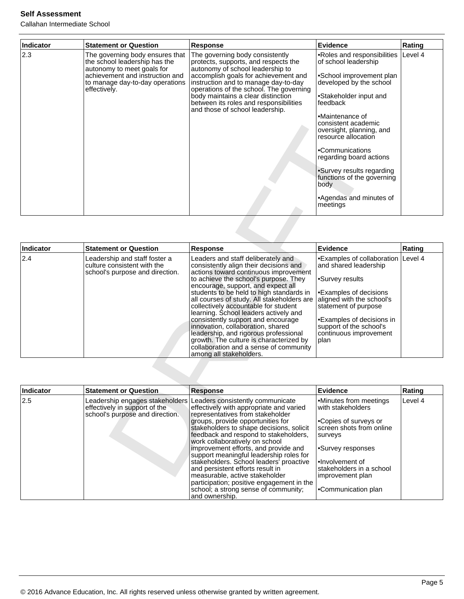| Indicator | <b>Statement or Question</b>                                                                                                                                                         | <b>Response</b>                                                                                                                                                                                                                                                                                                                                           | Evidence                                                                                                                                                                                                                                                                                                                                                                                              | Rating  |
|-----------|--------------------------------------------------------------------------------------------------------------------------------------------------------------------------------------|-----------------------------------------------------------------------------------------------------------------------------------------------------------------------------------------------------------------------------------------------------------------------------------------------------------------------------------------------------------|-------------------------------------------------------------------------------------------------------------------------------------------------------------------------------------------------------------------------------------------------------------------------------------------------------------------------------------------------------------------------------------------------------|---------|
| 2.3       | The governing body ensures that<br>the school leadership has the<br>autonomy to meet goals for<br>achievement and instruction and<br>to manage day-to-day operations<br>effectively. | The governing body consistently<br>protects, supports, and respects the<br>autonomy of school leadership to<br>accomplish goals for achievement and<br>instruction and to manage day-to-day<br>operations of the school. The governing<br>body maintains a clear distinction<br>between its roles and responsibilities<br>and those of school leadership. | •Roles and responsibilities<br>of school leadership<br>•School improvement plan<br>developed by the school<br>•Stakeholder input and<br>feedback<br>•Maintenance of<br>consistent academic<br>oversight, planning, and<br>resource allocation<br>•Communications<br>regarding board actions<br>•Survey results regarding<br>functions of the governing<br>body<br>•Agendas and minutes of<br>meetings | Level 4 |

|                  |                                                                                                     |                                                                                                                                                                                                                                                                                                                                                                                                                                                                                                                                                                                                                     | consistent academic<br>oversight, planning, and<br>resource allocation<br>•Communications<br>regarding board actions<br>•Survey results regarding<br>functions of the governing<br>body<br>•Agendas and minutes of<br>meetings                  |         |
|------------------|-----------------------------------------------------------------------------------------------------|---------------------------------------------------------------------------------------------------------------------------------------------------------------------------------------------------------------------------------------------------------------------------------------------------------------------------------------------------------------------------------------------------------------------------------------------------------------------------------------------------------------------------------------------------------------------------------------------------------------------|-------------------------------------------------------------------------------------------------------------------------------------------------------------------------------------------------------------------------------------------------|---------|
| <b>Indicator</b> | <b>Statement or Question</b>                                                                        | <b>Response</b>                                                                                                                                                                                                                                                                                                                                                                                                                                                                                                                                                                                                     | <b>Evidence</b>                                                                                                                                                                                                                                 | Rating  |
| 2.4              | Leadership and staff foster a<br>culture consistent with the<br>school's purpose and direction.     | Leaders and staff deliberately and<br>consistently align their decisions and<br>actions toward continuous improvement<br>to achieve the school's purpose. They<br>encourage, support, and expect all<br>students to be held to high standards in<br>all courses of study. All stakeholders are<br>collectively accountable for student<br>learning. School leaders actively and<br>consistently support and encourage<br>innovation, collaboration, shared<br>leadership, and rigorous professional<br>growth. The culture is characterized by<br>collaboration and a sense of community<br>among all stakeholders. | •Examples of collaboration<br>and shared leadership<br>•Survey results<br>•Examples of decisions<br>aligned with the school's<br>statement of purpose<br>•Examples of decisions in<br>support of the school's<br>continuous improvement<br>plan | Level 4 |
| Indicator        | <b>Statement or Question</b>                                                                        | <b>Response</b>                                                                                                                                                                                                                                                                                                                                                                                                                                                                                                                                                                                                     | <b>Evidence</b>                                                                                                                                                                                                                                 | Rating  |
| 2.5              | Leadership engages stakeholders<br>effectively in support of the<br>school's purpose and direction. | Leaders consistently communicate<br>effectively with appropriate and varied<br>representatives from stakeholder<br>groups, provide opportunities for<br>stakeholders to shape decisions, solicit<br>feedback and respond to stakeholders,<br>work collaboratively on school<br>improvement efforts, and provide and<br>support meaningful leadership roles for<br>stakeholders. School leaders' proactive<br>and persistent efforts result in<br>measurable, active stakeholder.                                                                                                                                    | •Minutes from meetings<br>with stakeholders<br>•Copies of surveys or<br>screen shots from online<br>surveys<br>•Survey responses<br>•Involvement of<br>stakeholders in a school<br>improvement plan.                                            | Level 4 |

| Indicator | <b>Statement or Question</b>                                     | <b>Response</b>                                                                                                                                                                                                                                                                                                                                                                                                                                                                                                                                                                                                        | Evidence                                                                                                                                                                                                                   | Rating  |
|-----------|------------------------------------------------------------------|------------------------------------------------------------------------------------------------------------------------------------------------------------------------------------------------------------------------------------------------------------------------------------------------------------------------------------------------------------------------------------------------------------------------------------------------------------------------------------------------------------------------------------------------------------------------------------------------------------------------|----------------------------------------------------------------------------------------------------------------------------------------------------------------------------------------------------------------------------|---------|
| 2.5       | effectively in support of the<br>school's purpose and direction. | Leadership engages stakeholders Leaders consistently communicate<br>effectively with appropriate and varied<br>representatives from stakeholder<br>groups, provide opportunities for<br>stakeholders to shape decisions, solicit<br>feedback and respond to stakeholders,<br>work collaboratively on school<br>improvement efforts, and provide and<br>support meaningful leadership roles for<br>stakeholders. School leaders' proactive<br>and persistent efforts result in<br>measurable, active stakeholder<br>participation; positive engagement in the<br>school; a strong sense of community;<br>and ownership. | Minutes from meetings<br>with stakeholders<br>l∙Copies of surveys or<br>screen shots from online<br>surveys<br>Survey responses<br>l•Involvement of<br>stakeholders in a school<br>limprovement plan<br>Communication plan | Level 4 |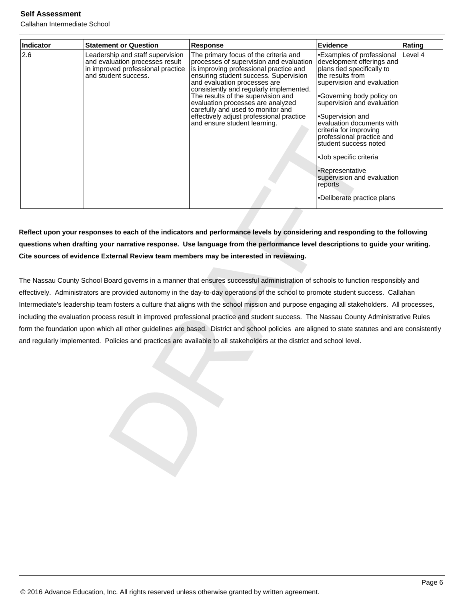Callahan Intermediate School

| Indicator | <b>Statement or Question</b>                                                                                                     | Response                                                                                                                                                                                                                                                                                                                                                                                                                                                                                                                                                                                                                                                                                                                                                                                                                                                                                                                                | <b>Evidence</b>                                                                                                                                                                                                                                                                                                                                                                                                          | Rating  |
|-----------|----------------------------------------------------------------------------------------------------------------------------------|-----------------------------------------------------------------------------------------------------------------------------------------------------------------------------------------------------------------------------------------------------------------------------------------------------------------------------------------------------------------------------------------------------------------------------------------------------------------------------------------------------------------------------------------------------------------------------------------------------------------------------------------------------------------------------------------------------------------------------------------------------------------------------------------------------------------------------------------------------------------------------------------------------------------------------------------|--------------------------------------------------------------------------------------------------------------------------------------------------------------------------------------------------------------------------------------------------------------------------------------------------------------------------------------------------------------------------------------------------------------------------|---------|
| 2.6       | Leadership and staff supervision<br>and evaluation processes result<br>in improved professional practice<br>and student success. | The primary focus of the criteria and<br>processes of supervision and evaluation<br>is improving professional practice and<br>ensuring student success. Supervision<br>and evaluation processes are<br>consistently and regularly implemented.<br>The results of the supervision and<br>evaluation processes are analyzed<br>carefully and used to monitor and<br>effectively adjust professional practice<br>and ensure student learning.                                                                                                                                                                                                                                                                                                                                                                                                                                                                                              | •Examples of professional<br>development offerings and<br>plans tied specifically to<br>the results from<br>supervision and evaluation<br>•Governing body policy on<br>supervision and evaluation<br>•Supervision and<br>evaluation documents with<br>criteria for improving<br>professional practice and<br>student success noted<br>·Job specific criteria<br>•Representative<br>supervision and evaluation<br>reports | Level 4 |
|           |                                                                                                                                  |                                                                                                                                                                                                                                                                                                                                                                                                                                                                                                                                                                                                                                                                                                                                                                                                                                                                                                                                         | •Deliberate practice plans                                                                                                                                                                                                                                                                                                                                                                                               |         |
|           |                                                                                                                                  | questions when drafting your narrative response. Use language from the performance level descriptions to guide your writing.<br>Cite sources of evidence External Review team members may be interested in reviewing.<br>The Nassau County School Board governs in a manner that ensures successful administration of schools to function responsibly and<br>effectively. Administrators are provided autonomy in the day-to-day operations of the school to promote student success. Callahan<br>Intermediate's leadership team fosters a culture that aligns with the school mission and purpose engaging all stakeholders. All processes,<br>including the evaluation process result in improved professional practice and student success. The Nassau County Administrative Rules<br>form the foundation upon which all other guidelines are based. District and school policies are aligned to state statutes and are consistently |                                                                                                                                                                                                                                                                                                                                                                                                                          |         |
|           |                                                                                                                                  | and regularly implemented. Policies and practices are available to all stakeholders at the district and school level.                                                                                                                                                                                                                                                                                                                                                                                                                                                                                                                                                                                                                                                                                                                                                                                                                   |                                                                                                                                                                                                                                                                                                                                                                                                                          |         |
|           |                                                                                                                                  |                                                                                                                                                                                                                                                                                                                                                                                                                                                                                                                                                                                                                                                                                                                                                                                                                                                                                                                                         |                                                                                                                                                                                                                                                                                                                                                                                                                          |         |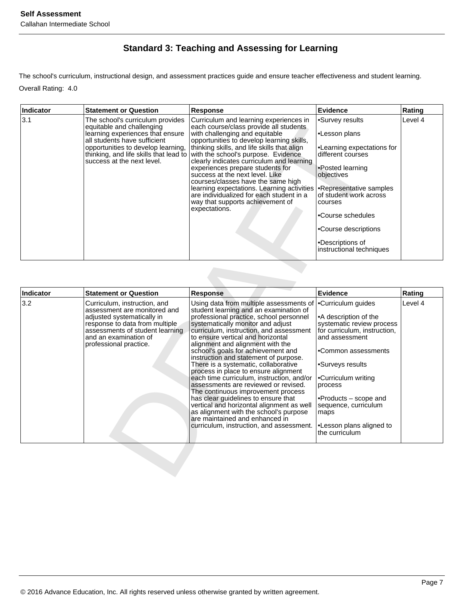# **Standard 3: Teaching and Assessing for Learning**

The school's curriculum, instructional design, and assessment practices guide and ensure teacher effectiveness and student learning. Overall Rating: 4.0

| Indicator | <b>Statement or Question</b>                                                                                                                                    | Response                                                                                                                                                                                                                                                                                                                                                                                                                                                                                                                                                                                                                                  | <b>Evidence</b>                                                                                                                                                                                                                                                                                        | Rating  |
|-----------|-----------------------------------------------------------------------------------------------------------------------------------------------------------------|-------------------------------------------------------------------------------------------------------------------------------------------------------------------------------------------------------------------------------------------------------------------------------------------------------------------------------------------------------------------------------------------------------------------------------------------------------------------------------------------------------------------------------------------------------------------------------------------------------------------------------------------|--------------------------------------------------------------------------------------------------------------------------------------------------------------------------------------------------------------------------------------------------------------------------------------------------------|---------|
| 3.1       | The school's curriculum provides<br>equitable and challenging<br>learning experiences that ensure<br>all students have sufficient<br>success at the next level. | Curriculum and learning experiences in<br>each course/class provide all students<br>with challenging and equitable<br>opportunities to develop learning skills,<br>opportunities to develop learning,  thinking skills, and life skills that align<br>thinking, and life skills that lead to with the school's purpose. Evidence<br>clearly indicates curriculum and learning<br>experiences prepare students for<br>success at the next level. Like<br>courses/classes have the same high<br>learning expectations. Learning activities<br>are individualized for each student in a<br>way that supports achievement of<br>expectations. | Survey results <sup>-</sup><br>∣•Lesson plans<br>•Learning expectations for<br>different courses<br>Posted learning<br>objectives<br><b>Representative samples</b><br>lof student work across<br> courses<br>l∙Course schedules<br>Course descriptions<br>•Descriptions of<br>instructional techniques | Level 4 |

| <b>Indicator</b><br><b>Evidence</b><br><b>Statement or Question</b><br><b>Response</b><br>Rating<br>3.2<br>Using data from multiple assessments of<br>•Curriculum guides<br>Level 4<br>Curriculum, instruction, and<br>assessment are monitored and<br>student learning and an examination of<br>professional practice, school personnel<br>adjusted systematically in<br>•A description of the<br>systematically monitor and adjust<br>systematic review process<br>response to data from multiple<br>assessments of student learning<br>curriculum, instruction, and assessment<br>for curriculum, instruction,<br>and an examination of<br>to ensure vertical and horizontal<br>and assessment<br>professional practice.<br>alignment and alignment with the<br>school's goals for achievement and<br>•Common assessments<br>instruction and statement of purpose.<br>There is a systematic, collaborative<br>•Surveys results<br>process in place to ensure alignment<br>each time curriculum, instruction, and/or<br>•Curriculum writing<br>assessments are reviewed or revised.<br>process<br>The continuous improvement process<br>has clear guidelines to ensure that<br>$\bullet$ Products $-$ scope and<br>vertical and horizontal alignment as well<br>sequence, curriculum<br>as alignment with the school's purpose<br>maps<br>are maintained and enhanced in<br>curriculum, instruction, and assessment.<br>•Lesson plans aligned to<br>the curriculum | equitable and challenging<br>learning experiences that ensure<br>all students have sufficient<br>opportunities to develop learning,<br>thinking, and life skills that lead to<br>success at the next level. | each course/class provide all students<br>with challenging and equitable<br>opportunities to develop learning skills,<br>thinking skills, and life skills that align<br>with the school's purpose. Evidence<br>clearly indicates curriculum and learning<br>experiences prepare students for<br>success at the next level. Like<br>courses/classes have the same high<br>learning expectations. Learning activities<br>are individualized for each student in a<br>way that supports achievement of<br>expectations. | •Lesson plans<br>•Learning expectations for<br>different courses<br>•Posted learning<br>objectives<br>•Representative samples<br>of student work across<br>courses<br>•Course schedules<br>•Course descriptions<br>•Descriptions of<br>instructional techniques |  |
|----------------------------------------------------------------------------------------------------------------------------------------------------------------------------------------------------------------------------------------------------------------------------------------------------------------------------------------------------------------------------------------------------------------------------------------------------------------------------------------------------------------------------------------------------------------------------------------------------------------------------------------------------------------------------------------------------------------------------------------------------------------------------------------------------------------------------------------------------------------------------------------------------------------------------------------------------------------------------------------------------------------------------------------------------------------------------------------------------------------------------------------------------------------------------------------------------------------------------------------------------------------------------------------------------------------------------------------------------------------------------------------------------------------------------------------------------------------------|-------------------------------------------------------------------------------------------------------------------------------------------------------------------------------------------------------------|----------------------------------------------------------------------------------------------------------------------------------------------------------------------------------------------------------------------------------------------------------------------------------------------------------------------------------------------------------------------------------------------------------------------------------------------------------------------------------------------------------------------|-----------------------------------------------------------------------------------------------------------------------------------------------------------------------------------------------------------------------------------------------------------------|--|
|                                                                                                                                                                                                                                                                                                                                                                                                                                                                                                                                                                                                                                                                                                                                                                                                                                                                                                                                                                                                                                                                                                                                                                                                                                                                                                                                                                                                                                                                      |                                                                                                                                                                                                             |                                                                                                                                                                                                                                                                                                                                                                                                                                                                                                                      |                                                                                                                                                                                                                                                                 |  |
|                                                                                                                                                                                                                                                                                                                                                                                                                                                                                                                                                                                                                                                                                                                                                                                                                                                                                                                                                                                                                                                                                                                                                                                                                                                                                                                                                                                                                                                                      |                                                                                                                                                                                                             |                                                                                                                                                                                                                                                                                                                                                                                                                                                                                                                      |                                                                                                                                                                                                                                                                 |  |
|                                                                                                                                                                                                                                                                                                                                                                                                                                                                                                                                                                                                                                                                                                                                                                                                                                                                                                                                                                                                                                                                                                                                                                                                                                                                                                                                                                                                                                                                      |                                                                                                                                                                                                             |                                                                                                                                                                                                                                                                                                                                                                                                                                                                                                                      |                                                                                                                                                                                                                                                                 |  |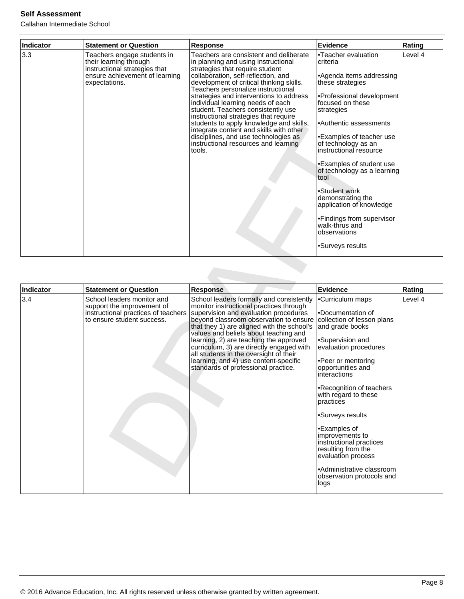| <b>Indicator</b> | <b>Statement or Question</b>                                                                                                              | <b>Response</b>                                                                                                                                                                                                                                                                                                                                                                                                                                                                                                                                                                          | Evidence                                                                                                                                                                                                                                                                                                                                                                                                                                                                      | Rating  |
|------------------|-------------------------------------------------------------------------------------------------------------------------------------------|------------------------------------------------------------------------------------------------------------------------------------------------------------------------------------------------------------------------------------------------------------------------------------------------------------------------------------------------------------------------------------------------------------------------------------------------------------------------------------------------------------------------------------------------------------------------------------------|-------------------------------------------------------------------------------------------------------------------------------------------------------------------------------------------------------------------------------------------------------------------------------------------------------------------------------------------------------------------------------------------------------------------------------------------------------------------------------|---------|
| 3.3              | Teachers engage students in<br>their learning through<br>instructional strategies that<br>ensure achievement of learning<br>expectations. | Teachers are consistent and deliberate<br>in planning and using instructional<br>strategies that require student<br>collaboration, self-reflection, and<br>development of critical thinking skills.<br>Teachers personalize instructional<br>strategies and interventions to address<br>individual learning needs of each<br>student. Teachers consistently use<br>instructional strategies that require<br>students to apply knowledge and skills,<br>integrate content and skills with other<br>disciplines, and use technologies as<br>instructional resources and learning<br>tools. | •Teacher evaluation<br>criteria<br>•Agenda items addressing<br>these strategies<br>•Professional development<br>focused on these<br>strategies<br>•Authentic assessments<br>•Examples of teacher use<br>of technology as an<br>instructional resource<br>•Examples of student use<br>of technology as a learning<br>tool<br>•Student work<br>demonstrating the<br>application of knowledge<br>•Findings from supervisor<br>walk-thrus and<br>observations<br>•Surveys results | Level 4 |

|                  |                                                                                                                               | students to apply knowledge and skills,<br>integrate content and skills with other<br>disciplines, and use technologies as<br>instructional resources and learning<br>tools.                                                                                                                                                                                                                                                                                                  | •Authentic assessments<br>•Examples of teacher use<br>of technology as an<br>instructional resource<br>•Examples of student use<br>of technology as a learning<br>tool<br>•Student work<br>demonstrating the<br>application of knowledge<br>•Findings from supervisor<br>walk-thrus and<br>observations<br>•Surveys results                                                                                                |         |
|------------------|-------------------------------------------------------------------------------------------------------------------------------|-------------------------------------------------------------------------------------------------------------------------------------------------------------------------------------------------------------------------------------------------------------------------------------------------------------------------------------------------------------------------------------------------------------------------------------------------------------------------------|----------------------------------------------------------------------------------------------------------------------------------------------------------------------------------------------------------------------------------------------------------------------------------------------------------------------------------------------------------------------------------------------------------------------------|---------|
| <b>Indicator</b> | <b>Statement or Question</b>                                                                                                  | <b>Response</b>                                                                                                                                                                                                                                                                                                                                                                                                                                                               | <b>Evidence</b>                                                                                                                                                                                                                                                                                                                                                                                                            | Rating  |
| 3.4              | School leaders monitor and<br>support the improvement of<br>instructional practices of teachers<br>to ensure student success. | School leaders formally and consistently<br>monitor instructional practices through<br>supervision and evaluation procedures<br>beyond classroom observation to ensure<br>that they 1) are aligned with the school's<br>values and beliefs about teaching and<br>learning, 2) are teaching the approved<br>curriculum, 3) are directly engaged with<br>all students in the oversight of their<br>learning, and 4) use content-specific<br>standards of professional practice. | •Curriculum maps<br>•Documentation of<br>collection of lesson plans<br>and grade books<br>•Supervision and<br>evaluation procedures<br>•Peer or mentoring<br>opportunities and<br>interactions<br>•Recognition of teachers<br>with regard to these<br>practices<br>•Surveys results<br>•Examples of<br>improvements to<br>instructional practices<br>resulting from the<br>evaluation process<br>•Administrative classroom | Level 4 |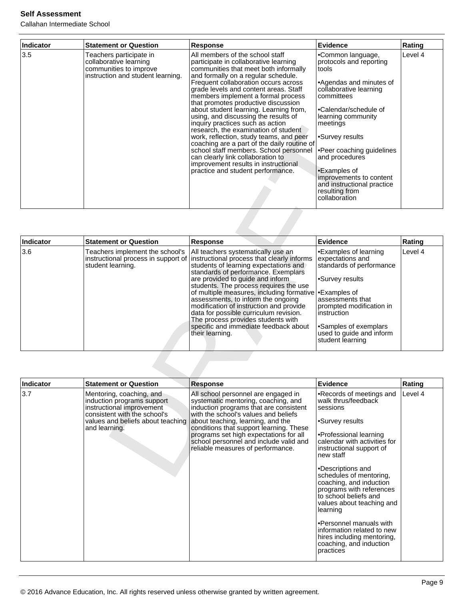| Indicator | <b>Statement or Question</b>                                                                                     | Response                                                                                                                                                                                                                                                                                                                                                                                                                                                                                                                                                                                                                                                                                                                                   | Evidence                                                                                                                                                                                                                                                                                                                                                            | Rating  |
|-----------|------------------------------------------------------------------------------------------------------------------|--------------------------------------------------------------------------------------------------------------------------------------------------------------------------------------------------------------------------------------------------------------------------------------------------------------------------------------------------------------------------------------------------------------------------------------------------------------------------------------------------------------------------------------------------------------------------------------------------------------------------------------------------------------------------------------------------------------------------------------------|---------------------------------------------------------------------------------------------------------------------------------------------------------------------------------------------------------------------------------------------------------------------------------------------------------------------------------------------------------------------|---------|
| 3.5       | Teachers participate in<br>collaborative learning<br>communities to improve<br>instruction and student learning. | All members of the school staff<br>participate in collaborative learning<br>communities that meet both informally<br>and formally on a regular schedule.<br>Frequent collaboration occurs across<br>grade levels and content areas. Staff<br>members implement a formal process<br>that promotes productive discussion<br>about student learning. Learning from,<br>using, and discussing the results of<br>inquiry practices such as action<br>research, the examination of student<br>work, reflection, study teams, and peer<br>coaching are a part of the daily routine of<br>school staff members. School personnel<br>can clearly link collaboration to<br>improvement results in instructional<br>practice and student performance. | •Common language,<br>protocols and reporting<br>Itools<br>•Agendas and minutes of<br>collaborative learning<br>committees<br>l∙Calendar/schedule of<br>learning community<br>meetings<br>•Survey results<br>•Peer coaching guidelines<br>and procedures<br>•Examples of<br>improvements to content<br>and instructional practice<br>resulting from<br>collaboration | Level 4 |

|           |                                                                                                                                                                           | inquiry practices such as action<br>research, the examination of student<br>work, reflection, study teams, and peer<br>coaching are a part of the daily routine of<br>school staff members. School personnel<br>can clearly link collaboration to<br>improvement results in instructional<br>practice and student performance.                                                                                                                                                                                           | meetings<br>•Survey results<br>•Peer coaching guidelines<br>and procedures<br>•Examples of<br>improvements to content<br>and instructional practice<br>resulting from<br>collaboration                                                           |         |
|-----------|---------------------------------------------------------------------------------------------------------------------------------------------------------------------------|--------------------------------------------------------------------------------------------------------------------------------------------------------------------------------------------------------------------------------------------------------------------------------------------------------------------------------------------------------------------------------------------------------------------------------------------------------------------------------------------------------------------------|--------------------------------------------------------------------------------------------------------------------------------------------------------------------------------------------------------------------------------------------------|---------|
| Indicator | <b>Statement or Question</b>                                                                                                                                              | <b>Response</b>                                                                                                                                                                                                                                                                                                                                                                                                                                                                                                          | <b>Evidence</b>                                                                                                                                                                                                                                  | Rating  |
| 3.6       | Teachers implement the school's<br>instructional process in support of<br>student learning.                                                                               | All teachers systematically use an<br>instructional process that clearly informs<br>students of learning expectations and<br>standards of performance. Exemplars<br>are provided to guide and inform<br>students. The process requires the use<br>of multiple measures, including formative<br>assessments, to inform the ongoing<br>modification of instruction and provide<br>data for possible curriculum revision.<br>The process provides students with<br>specific and immediate feedback about<br>their learning. | •Examples of learning<br>expectations and<br>standards of performance<br>•Survey results<br>•Examples of<br>assessments that<br>prompted modification in<br>instruction<br>•Samples of exemplars<br>used to guide and inform<br>student learning | Level 4 |
| Indicator | <b>Statement or Question</b>                                                                                                                                              | <b>Response</b>                                                                                                                                                                                                                                                                                                                                                                                                                                                                                                          | <b>Evidence</b>                                                                                                                                                                                                                                  | Rating  |
| 3.7       | Mentoring, coaching, and<br>induction programs support<br>instructional improvement<br>consistent with the school's<br>values and beliefs about teaching<br>and learning. | All school personnel are engaged in<br>systematic mentoring, coaching, and<br>induction programs that are consistent<br>with the school's values and beliefs<br>about teaching, learning, and the<br>conditions that support learning. These<br>programs set high expectations for all<br>school personnel and include valid and<br>reliable measures of performance.                                                                                                                                                    | •Records of meetings and<br>walk thrus/feedback<br>sessions<br>•Survey results<br>•Professional learning<br>calendar with activities for<br>instructional support of<br>new staff<br>•Descriptions and<br>schedules of mentoring                 | Level 4 |

| Indicator | <b>Statement or Question</b>                                                                                                                                              | <b>Response</b>                                                                                                                                                                                                                                                                                                                                                       | Evidence                                                                                                                                                                                                                                                                                                                                                                                                                                                                                  | Rating  |
|-----------|---------------------------------------------------------------------------------------------------------------------------------------------------------------------------|-----------------------------------------------------------------------------------------------------------------------------------------------------------------------------------------------------------------------------------------------------------------------------------------------------------------------------------------------------------------------|-------------------------------------------------------------------------------------------------------------------------------------------------------------------------------------------------------------------------------------------------------------------------------------------------------------------------------------------------------------------------------------------------------------------------------------------------------------------------------------------|---------|
| 3.7       | Mentoring, coaching, and<br>induction programs support<br>instructional improvement<br>consistent with the school's<br>values and beliefs about teaching<br>and learning. | All school personnel are engaged in<br>systematic mentoring, coaching, and<br>induction programs that are consistent<br>with the school's values and beliefs<br>about teaching, learning, and the<br>conditions that support learning. These<br>programs set high expectations for all<br>school personnel and include valid and<br>reliable measures of performance. | •Records of meetings and<br>walk thrus/feedback<br>sessions<br>•Survey results<br>•Professional learning<br>calendar with activities for<br>instructional support of<br>new staff<br>•Descriptions and<br>schedules of mentoring,<br>coaching, and induction<br>programs with references<br>to school beliefs and<br>values about teaching and<br>learning<br>•Personnel manuals with<br>information related to new<br>hires including mentoring,<br>coaching, and induction<br>practices | Level 4 |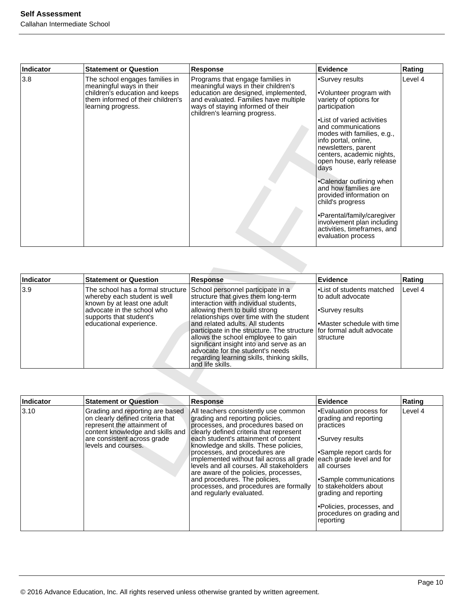| Indicator | <b>Statement or Question</b>                                                                                                                                                                 | <b>Response</b>                                                                                                                                                                                                                                                                                                                                                                                                                                                            | <b>Evidence</b>                                                                                                                                                                                                                                                                                                                                                                                                                                                                                              | Rating  |
|-----------|----------------------------------------------------------------------------------------------------------------------------------------------------------------------------------------------|----------------------------------------------------------------------------------------------------------------------------------------------------------------------------------------------------------------------------------------------------------------------------------------------------------------------------------------------------------------------------------------------------------------------------------------------------------------------------|--------------------------------------------------------------------------------------------------------------------------------------------------------------------------------------------------------------------------------------------------------------------------------------------------------------------------------------------------------------------------------------------------------------------------------------------------------------------------------------------------------------|---------|
| 3.8       | The school engages families in<br>meaningful ways in their<br>children's education and keeps<br>them informed of their children's<br>learning progress.                                      | Programs that engage families in<br>meaningful ways in their children's<br>education are designed, implemented,<br>and evaluated. Families have multiple<br>ways of staying informed of their<br>children's learning progress.                                                                                                                                                                                                                                             | •Survey results<br>•Volunteer program with<br>variety of options for<br>participation<br>•List of varied activities<br>and communications<br>modes with families, e.g.,<br>info portal, online,<br>newsletters, parent<br>centers, academic nights,<br>open house, early release<br>days<br>•Calendar outlining when<br>and how families are<br>provided information on<br>child's progress<br>•Parental/family/caregiver<br>involvement plan including<br>activities, timeframes, and<br>evaluation process | Level 4 |
| Indicator | <b>Statement or Question</b>                                                                                                                                                                 | <b>Response</b>                                                                                                                                                                                                                                                                                                                                                                                                                                                            | <b>Evidence</b>                                                                                                                                                                                                                                                                                                                                                                                                                                                                                              | Rating  |
| 3.9       | The school has a formal structure<br>whereby each student is well<br>known by at least one adult<br>advocate in the school who<br>supports that student's<br>educational experience.         | School personnel participate in a<br>structure that gives them long-term<br>interaction with individual students,<br>allowing them to build strong<br>relationships over time with the student<br>and related adults. All students<br>participate in the structure. The structure<br>allows the school employee to gain<br>significant insight into and serve as an<br>advocate for the student's needs<br>regarding learning skills, thinking skills,<br>and life skills. | ·List of students matched<br>to adult advocate<br>•Survey results<br>•Master schedule with time<br>for formal adult advocate<br>structure                                                                                                                                                                                                                                                                                                                                                                    | Level 4 |
|           |                                                                                                                                                                                              |                                                                                                                                                                                                                                                                                                                                                                                                                                                                            |                                                                                                                                                                                                                                                                                                                                                                                                                                                                                                              |         |
| Indicator | <b>Statement or Question</b>                                                                                                                                                                 | Response                                                                                                                                                                                                                                                                                                                                                                                                                                                                   | Evidence                                                                                                                                                                                                                                                                                                                                                                                                                                                                                                     | Rating  |
| 3.10      | Grading and reporting are based<br>on clearly defined criteria that<br>represent the attainment of<br>content knowledge and skills and<br>are consistent across grade<br>levels and courses. | All teachers consistently use common<br>grading and reporting policies,<br>processes, and procedures based on<br>clearly defined criteria that represent<br>each student's attainment of content<br>knowledge and skills. These policies,<br>processes, and procedures are<br>implemented without fail across all grade<br>levels and all courses. All stakeholders<br>are aware of the policies, processes,                                                               | •Evaluation process for<br>grading and reporting<br>practices<br>•Survey results<br>•Sample report cards for<br>each grade level and for<br>all courses                                                                                                                                                                                                                                                                                                                                                      | Level 4 |

| Indicator | <b>Statement or Question</b>                                                                                                                                                                                             | <b>Response</b>                                                                                                                                                                                                                                                                                                                                                                                                                                                  | Evidence                                                                                                                 | Rating  |
|-----------|--------------------------------------------------------------------------------------------------------------------------------------------------------------------------------------------------------------------------|------------------------------------------------------------------------------------------------------------------------------------------------------------------------------------------------------------------------------------------------------------------------------------------------------------------------------------------------------------------------------------------------------------------------------------------------------------------|--------------------------------------------------------------------------------------------------------------------------|---------|
| 3.9       | The school has a formal structure (School personnel participate in a<br>whereby each student is well<br>known by at least one adult<br>ladvocate in the school who<br>supports that student's<br>educational experience. | structure that gives them long-term<br>interaction with individual students,<br>allowing them to build strong<br>relationships over time with the student<br>land related adults. All students<br>participate in the structure. The structure for formal adult advocate<br>allows the school employee to gain<br>significant insight into and serve as an<br>advocate for the student's needs<br>regarding learning skills, thinking skills,<br>and life skills. | <b>.</b> List of students matched<br>lto adult advocate<br>I•Survey results<br>l•Master schedule with time<br>Istructure | Level 4 |

| Indicator | <b>Statement or Question</b>                                                                                                                                                                 | <b>Response</b>                                                                                                                                                                                                                                                                                                                                                                                                                                                                                                     | Evidence                                                                                                                                                                                                                                                                                                   | Rating  |
|-----------|----------------------------------------------------------------------------------------------------------------------------------------------------------------------------------------------|---------------------------------------------------------------------------------------------------------------------------------------------------------------------------------------------------------------------------------------------------------------------------------------------------------------------------------------------------------------------------------------------------------------------------------------------------------------------------------------------------------------------|------------------------------------------------------------------------------------------------------------------------------------------------------------------------------------------------------------------------------------------------------------------------------------------------------------|---------|
| 3.10      | Grading and reporting are based<br>on clearly defined criteria that<br>represent the attainment of<br>content knowledge and skills and<br>are consistent across grade<br>levels and courses. | All teachers consistently use common<br>grading and reporting policies,<br>processes, and procedures based on<br>clearly defined criteria that represent<br>each student's attainment of content<br>knowledge and skills. These policies,<br>processes, and procedures are<br>implemented without fail across all grade<br>levels and all courses. All stakeholders<br>are aware of the policies, processes,<br>and procedures. The policies,<br>processes, and procedures are formally<br>and regularly evaluated. | •Evaluation process for<br>grading and reporting<br>practices<br>•Survey results<br>Sample report cards for<br>each grade level and for<br>all courses<br>•Sample communications<br>lto stakeholders about<br>grading and reporting<br>•Policies, processes, and<br>procedures on grading and<br>reporting | Level 4 |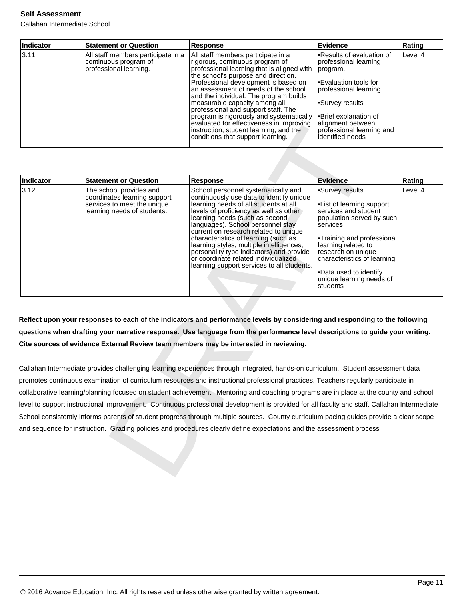Callahan Intermediate School

| Indicator | <b>Statement or Question</b>                                                          | <b>Response</b>                                                                                                                                                                                                                                                                                                                                                                                                                                                                                                                     | <b>Evidence</b>                                                                                                                                                                                                                                 | Rating  |
|-----------|---------------------------------------------------------------------------------------|-------------------------------------------------------------------------------------------------------------------------------------------------------------------------------------------------------------------------------------------------------------------------------------------------------------------------------------------------------------------------------------------------------------------------------------------------------------------------------------------------------------------------------------|-------------------------------------------------------------------------------------------------------------------------------------------------------------------------------------------------------------------------------------------------|---------|
| 13.11     | All staff members participate in a<br>continuous program of<br>professional learning. | All staff members participate in a<br>rigorous, continuous program of<br>professional learning that is aligned with<br>the school's purpose and direction.<br>Professional development is based on<br>an assessment of needs of the school<br>and the individual. The program builds<br>measurable capacity among all<br>professional and support staff. The<br>program is rigorously and systematically<br>evaluated for effectiveness in improving<br>instruction, student learning, and the<br>conditions that support learning. | Results of evaluation of<br>professional learning<br>program.<br>l∙Evaluation tools for<br>professional learning<br>Survey results <sup>®</sup><br>l•Brief explanation of<br>alignment between<br>professional learning and<br>identified needs | Level 4 |

|           |                                                                                                                       | evaluated for effectiveness in improving<br>instruction, student learning, and the<br>conditions that support learning.                                                                                                                                                                                                                                                                                                                                                                                  | alignment between<br>professional learning and<br>identified needs                                                                                                                                                                                                                        |         |
|-----------|-----------------------------------------------------------------------------------------------------------------------|----------------------------------------------------------------------------------------------------------------------------------------------------------------------------------------------------------------------------------------------------------------------------------------------------------------------------------------------------------------------------------------------------------------------------------------------------------------------------------------------------------|-------------------------------------------------------------------------------------------------------------------------------------------------------------------------------------------------------------------------------------------------------------------------------------------|---------|
|           |                                                                                                                       |                                                                                                                                                                                                                                                                                                                                                                                                                                                                                                          |                                                                                                                                                                                                                                                                                           |         |
| Indicator | <b>Statement or Question</b>                                                                                          | Response                                                                                                                                                                                                                                                                                                                                                                                                                                                                                                 | <b>Evidence</b>                                                                                                                                                                                                                                                                           | Rating  |
| 3.12      | The school provides and<br>coordinates learning support<br>services to meet the unique<br>learning needs of students. | School personnel systematically and<br>continuously use data to identify unique<br>learning needs of all students at all<br>levels of proficiency as well as other<br>learning needs (such as second<br>languages). School personnel stay<br>current on research related to unique<br>characteristics of learning (such as<br>learning styles, multiple intelligences,<br>personality type indicators) and provide<br>or coordinate related individualized<br>learning support services to all students. | •Survey results<br>•List of learning support<br>services and student<br>population served by such<br>services<br>•Training and professional<br>learning related to<br>research on unique<br>characteristics of learning<br>•Data used to identify<br>unique learning needs of<br>students | Level 4 |
|           |                                                                                                                       | Reflect upon your responses to each of the indicators and performance levels by considering and responding to the following<br>questions when drafting your narrative response. Use language from the performance level descriptions to guide your writing.<br>Cite sources of evidence External Review team members may be interested in reviewing.                                                                                                                                                     |                                                                                                                                                                                                                                                                                           |         |
|           |                                                                                                                       | Callahan Intermediate provides challenging learning experiences through integrated, hands-on curriculum. Student assessment data<br>promotes continuous examination of curriculum resources and instructional professional practices. Teachers regularly participate in                                                                                                                                                                                                                                  |                                                                                                                                                                                                                                                                                           |         |
|           |                                                                                                                       | collaborative learning/planning focused on student achievement. Mentoring and coaching programs are in place at the county and school                                                                                                                                                                                                                                                                                                                                                                    |                                                                                                                                                                                                                                                                                           |         |
|           |                                                                                                                       | level to support instructional improvement. Continuous professional development is provided for all faculty and staff. Callahan Intermediate                                                                                                                                                                                                                                                                                                                                                             |                                                                                                                                                                                                                                                                                           |         |
|           |                                                                                                                       | School consistently informs parents of student progress through multiple sources. County curriculum pacing guides provide a clear scope                                                                                                                                                                                                                                                                                                                                                                  |                                                                                                                                                                                                                                                                                           |         |
|           |                                                                                                                       | and sequence for instruction. Grading policies and procedures clearly define expectations and the assessment process                                                                                                                                                                                                                                                                                                                                                                                     |                                                                                                                                                                                                                                                                                           |         |
|           |                                                                                                                       |                                                                                                                                                                                                                                                                                                                                                                                                                                                                                                          |                                                                                                                                                                                                                                                                                           |         |
|           |                                                                                                                       |                                                                                                                                                                                                                                                                                                                                                                                                                                                                                                          |                                                                                                                                                                                                                                                                                           |         |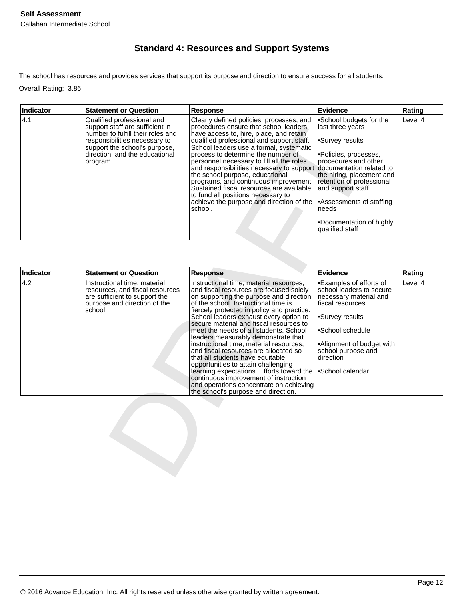## **Standard 4: Resources and Support Systems**

The school has resources and provides services that support its purpose and direction to ensure success for all students.

Overall Rating: 3.86

| Indicator | <b>Statement or Question</b>                                                                                                                                                                                       | <b>Response</b>                                                                                                                                                                                                                                                                                                                                                                                                                                                                                                                                                                                    | Evidence                                                                                                                                                                                                                                                                        | Rating  |
|-----------|--------------------------------------------------------------------------------------------------------------------------------------------------------------------------------------------------------------------|----------------------------------------------------------------------------------------------------------------------------------------------------------------------------------------------------------------------------------------------------------------------------------------------------------------------------------------------------------------------------------------------------------------------------------------------------------------------------------------------------------------------------------------------------------------------------------------------------|---------------------------------------------------------------------------------------------------------------------------------------------------------------------------------------------------------------------------------------------------------------------------------|---------|
| 4.1       | Qualified professional and<br>support staff are sufficient in<br>number to fulfill their roles and<br>responsibilities necessary to<br>support the school's purpose,<br>direction, and the educational<br>program. | Clearly defined policies, processes, and<br>procedures ensure that school leaders<br>have access to, hire, place, and retain<br>qualified professional and support staff.<br>School leaders use a formal, systematic<br>process to determine the number of<br>personnel necessary to fill all the roles<br>and responsibilities necessary to support documentation related to<br>the school purpose, educational<br>programs, and continuous improvement.<br>Sustained fiscal resources are available<br>to fund all positions necessary to<br>achieve the purpose and direction of the<br>school. | School budgets for the<br>last three years<br>•Survey results<br>Policies, processes,<br>procedures and other<br>the hiring, placement and<br>retention of professional<br>and support staff<br>Assessments of staffing<br>needs<br>•Documentation of highly<br>qualified staff | Level 4 |

|                  | support staff are sufficient in<br>number to fulfill their roles and<br>responsibilities necessary to<br>support the school's purpose,<br>direction, and the educational<br>program. | procedures ensure that school leaders<br>have access to, hire, place, and retain<br>qualified professional and support staff.<br>School leaders use a formal, systematic<br>process to determine the number of<br>personnel necessary to fill all the roles<br>and responsibilities necessary to support<br>the school purpose, educational<br>programs, and continuous improvement.<br>Sustained fiscal resources are available<br>to fund all positions necessary to<br>achieve the purpose and direction of the<br>school. | last three years<br>•Survey results<br>•Policies, processes,<br>procedures and other<br>documentation related to<br>the hiring, placement and<br>retention of professional<br>and support staff<br>•Assessments of staffing<br>needs<br>•Documentation of highly<br>qualified staff |                   |
|------------------|--------------------------------------------------------------------------------------------------------------------------------------------------------------------------------------|-------------------------------------------------------------------------------------------------------------------------------------------------------------------------------------------------------------------------------------------------------------------------------------------------------------------------------------------------------------------------------------------------------------------------------------------------------------------------------------------------------------------------------|-------------------------------------------------------------------------------------------------------------------------------------------------------------------------------------------------------------------------------------------------------------------------------------|-------------------|
|                  |                                                                                                                                                                                      |                                                                                                                                                                                                                                                                                                                                                                                                                                                                                                                               |                                                                                                                                                                                                                                                                                     |                   |
| Indicator<br>4.2 | <b>Statement or Question</b><br>Instructional time, material                                                                                                                         | <b>Response</b><br>Instructional time, material resources,                                                                                                                                                                                                                                                                                                                                                                                                                                                                    | Evidence<br>•Examples of efforts of                                                                                                                                                                                                                                                 | Rating<br>Level 4 |
|                  | resources, and fiscal resources<br>are sufficient to support the                                                                                                                     | and fiscal resources are focused solely<br>on supporting the purpose and direction                                                                                                                                                                                                                                                                                                                                                                                                                                            | school leaders to secure<br>necessary material and                                                                                                                                                                                                                                  |                   |
|                  | purpose and direction of the<br>school.                                                                                                                                              | of the school. Instructional time is<br>fiercely protected in policy and practice.                                                                                                                                                                                                                                                                                                                                                                                                                                            | fiscal resources                                                                                                                                                                                                                                                                    |                   |
|                  |                                                                                                                                                                                      | School leaders exhaust every option to<br>secure material and fiscal resources to                                                                                                                                                                                                                                                                                                                                                                                                                                             | •Survey results                                                                                                                                                                                                                                                                     |                   |
|                  |                                                                                                                                                                                      | meet the needs of all students. School<br>leaders measurably demonstrate that                                                                                                                                                                                                                                                                                                                                                                                                                                                 | •School schedule                                                                                                                                                                                                                                                                    |                   |
|                  |                                                                                                                                                                                      | instructional time, material resources,<br>and fiscal resources are allocated so                                                                                                                                                                                                                                                                                                                                                                                                                                              | •Alignment of budget with<br>school purpose and                                                                                                                                                                                                                                     |                   |
|                  |                                                                                                                                                                                      | that all students have equitable<br>opportunities to attain challenging                                                                                                                                                                                                                                                                                                                                                                                                                                                       | direction                                                                                                                                                                                                                                                                           |                   |
|                  |                                                                                                                                                                                      | learning expectations. Efforts toward the<br>continuous improvement of instruction                                                                                                                                                                                                                                                                                                                                                                                                                                            | •School calendar                                                                                                                                                                                                                                                                    |                   |
|                  |                                                                                                                                                                                      | and operations concentrate on achieving<br>the school's purpose and direction.                                                                                                                                                                                                                                                                                                                                                                                                                                                |                                                                                                                                                                                                                                                                                     |                   |
|                  |                                                                                                                                                                                      |                                                                                                                                                                                                                                                                                                                                                                                                                                                                                                                               |                                                                                                                                                                                                                                                                                     |                   |
|                  |                                                                                                                                                                                      |                                                                                                                                                                                                                                                                                                                                                                                                                                                                                                                               |                                                                                                                                                                                                                                                                                     |                   |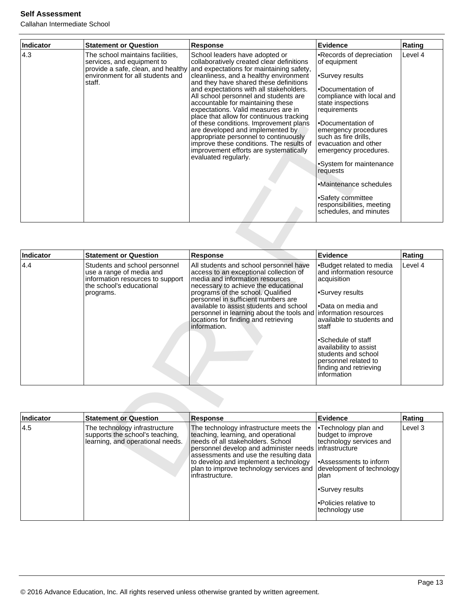| <b>Indicator</b> | <b>Statement or Question</b>                                                                                 | <b>Response</b>                                                                                                                                                                                                                                                                                                                                                                                                                                                                                                                                                                                                                                                                                 | <b>Evidence</b>                                                                                                                                                                                                                                                                                                                                                                                                       | Rating  |
|------------------|--------------------------------------------------------------------------------------------------------------|-------------------------------------------------------------------------------------------------------------------------------------------------------------------------------------------------------------------------------------------------------------------------------------------------------------------------------------------------------------------------------------------------------------------------------------------------------------------------------------------------------------------------------------------------------------------------------------------------------------------------------------------------------------------------------------------------|-----------------------------------------------------------------------------------------------------------------------------------------------------------------------------------------------------------------------------------------------------------------------------------------------------------------------------------------------------------------------------------------------------------------------|---------|
| 4.3              | The school maintains facilities,<br>services, and equipment to<br>environment for all students and<br>staff. | School leaders have adopted or<br>collaboratively created clear definitions<br>provide a safe, clean, and healthy and expectations for maintaining safety,<br>cleanliness, and a healthy environment<br>and they have shared these definitions<br>and expectations with all stakeholders.<br>All school personnel and students are<br>accountable for maintaining these<br>expectations. Valid measures are in<br>place that allow for continuous tracking<br>of these conditions. Improvement plans<br>are developed and implemented by<br>appropriate personnel to continuously<br>improve these conditions. The results of<br>improvement efforts are systematically<br>evaluated regularly. | •Records of depreciation<br>of equipment<br>•Survey results<br>•Documentation of<br>compliance with local and<br>state inspections<br>requirements<br>•Documentation of<br>emergency procedures<br>such as fire drills,<br>evacuation and other<br>emergency procedures.<br>•System for maintenance<br>requests<br>•Maintenance schedules<br>•Safety committee<br>responsibilities, meeting<br>schedules, and minutes | Level 4 |

|           |                                                                                                      | or these conditions. Improvement plans<br>are developed and implemented by<br>appropriate personnel to continuously<br>improve these conditions. The results of<br>improvement efforts are systematically<br>evaluated regularly.                | •Documentation of<br>emergency procedures<br>such as fire drills,<br>evacuation and other<br>emergency procedures.<br>•System for maintenance<br>requests<br>•Maintenance schedules<br>•Safety committee<br>responsibilities, meeting<br>schedules, and minutes |         |
|-----------|------------------------------------------------------------------------------------------------------|--------------------------------------------------------------------------------------------------------------------------------------------------------------------------------------------------------------------------------------------------|-----------------------------------------------------------------------------------------------------------------------------------------------------------------------------------------------------------------------------------------------------------------|---------|
| Indicator | <b>Statement or Question</b>                                                                         |                                                                                                                                                                                                                                                  | <b>Evidence</b>                                                                                                                                                                                                                                                 | Rating  |
| 4.4       | Students and school personnel                                                                        | <b>Response</b><br>All students and school personnel have                                                                                                                                                                                        | •Budget related to media                                                                                                                                                                                                                                        | Level 4 |
|           | use a range of media and<br>information resources to support<br>the school's educational             | access to an exceptional collection of<br>media and information resources<br>necessary to achieve the educational                                                                                                                                | and information resource<br>acquisition                                                                                                                                                                                                                         |         |
|           | programs.                                                                                            | programs of the school. Qualified<br>personnel in sufficient numbers are                                                                                                                                                                         | •Survey results                                                                                                                                                                                                                                                 |         |
|           |                                                                                                      | available to assist students and school<br>personnel in learning about the tools and<br>locations for finding and retrieving<br>information.                                                                                                     | •Data on media and<br>information resources<br>available to students and<br>staff                                                                                                                                                                               |         |
|           |                                                                                                      |                                                                                                                                                                                                                                                  | •Schedule of staff                                                                                                                                                                                                                                              |         |
|           |                                                                                                      |                                                                                                                                                                                                                                                  | availability to assist<br>students and school                                                                                                                                                                                                                   |         |
|           |                                                                                                      |                                                                                                                                                                                                                                                  | personnel related to<br>finding and retrieving<br>information                                                                                                                                                                                                   |         |
|           |                                                                                                      |                                                                                                                                                                                                                                                  |                                                                                                                                                                                                                                                                 |         |
| Indicator | <b>Statement or Question</b>                                                                         | <b>Response</b>                                                                                                                                                                                                                                  | <b>Evidence</b>                                                                                                                                                                                                                                                 | Rating  |
| 4.5       | The technology infrastructure<br>supports the school's teaching,<br>learning, and operational needs. | The technology infrastructure meets the<br>teaching, learning, and operational<br>needs of all stakeholders. School<br>personnel develop and administer needs<br>assessments and use the resulting data<br>to develop and implement a technology | •Technology plan and<br>budget to improve<br>technology services and<br>infrastructure<br>•Assessments to inform                                                                                                                                                | Level 3 |
|           |                                                                                                      | plan to improve technology services and<br>infrastructure                                                                                                                                                                                        | development of technology<br>nlan                                                                                                                                                                                                                               |         |

| Indicator | <b>Statement or Question</b>                                                                         | Response                                                                                                                                                                                                                                                                                                                         | Evidence                                                                                                                                                                                            | Rating  |
|-----------|------------------------------------------------------------------------------------------------------|----------------------------------------------------------------------------------------------------------------------------------------------------------------------------------------------------------------------------------------------------------------------------------------------------------------------------------|-----------------------------------------------------------------------------------------------------------------------------------------------------------------------------------------------------|---------|
| 14.5      | The technology infrastructure<br>supports the school's teaching,<br>learning, and operational needs. | The technology infrastructure meets the<br>teaching, learning, and operational<br>Ineeds of all stakeholders. School<br>personnel develop and administer needs   infrastructure<br>assessments and use the resulting data<br>to develop and implement a technology<br>plan to improve technology services and<br>infrastructure. | •Technology plan and<br>budget to improve<br>technology services and<br>l•Assessments to inform<br>development of technology<br> plan<br>l∙Survey results<br>Policies relative to<br>technology use | Level 3 |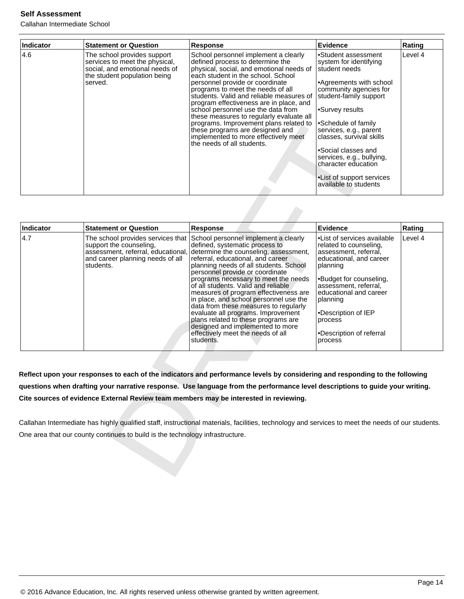Callahan Intermediate School

| <b>Indicator</b> | <b>Statement or Question</b>                                                                                                               | <b>Response</b>                                                                                                                                                                                                                                                                                                                                                                                                                                                                                                                                                | <b>Evidence</b>                                                                                                                                                                                                                                                                                                                                                                            | Rating  |
|------------------|--------------------------------------------------------------------------------------------------------------------------------------------|----------------------------------------------------------------------------------------------------------------------------------------------------------------------------------------------------------------------------------------------------------------------------------------------------------------------------------------------------------------------------------------------------------------------------------------------------------------------------------------------------------------------------------------------------------------|--------------------------------------------------------------------------------------------------------------------------------------------------------------------------------------------------------------------------------------------------------------------------------------------------------------------------------------------------------------------------------------------|---------|
| 4.6              | The school provides support<br>services to meet the physical,<br>social, and emotional needs of<br>the student population being<br>served. | School personnel implement a clearly<br>defined process to determine the<br>physical, social, and emotional needs of<br>each student in the school. School<br>personnel provide or coordinate<br>programs to meet the needs of all<br>students. Valid and reliable measures of<br>program effectiveness are in place, and<br>school personnel use the data from<br>these measures to regularly evaluate all<br>programs. Improvement plans related to<br>these programs are designed and<br>implemented to more effectively meet<br>the needs of all students. | Student assessment<br>system for identifying<br>student needs<br>Agreements with school<br>community agencies for<br>student-family support<br>Survey results <sup>-</sup><br>l∙Schedule of family<br>services, e.g., parent<br>classes, survival skills<br>•Social classes and<br>services, e.g., bullying,<br>character education<br>• List of support services<br>available to students | Level 4 |

|                  |                                                                                                                                                     | programs. Improvement plans related to<br>these programs are designed and<br>implemented to more effectively meet<br>the needs of all students.                                                                                                                                                                                                                                                                                                                                                                                                                                                                 | •Schedule of family<br>services, e.g., parent<br>classes, survival skills<br>•Social classes and<br>services, e.g., bullying,<br>character education<br>.List of support services<br>available to students                                                                               |         |
|------------------|-----------------------------------------------------------------------------------------------------------------------------------------------------|-----------------------------------------------------------------------------------------------------------------------------------------------------------------------------------------------------------------------------------------------------------------------------------------------------------------------------------------------------------------------------------------------------------------------------------------------------------------------------------------------------------------------------------------------------------------------------------------------------------------|------------------------------------------------------------------------------------------------------------------------------------------------------------------------------------------------------------------------------------------------------------------------------------------|---------|
| <b>Indicator</b> | <b>Statement or Question</b>                                                                                                                        | <b>Response</b>                                                                                                                                                                                                                                                                                                                                                                                                                                                                                                                                                                                                 | <b>Evidence</b>                                                                                                                                                                                                                                                                          | Rating  |
| 4.7              | The school provides services that<br>support the counseling,<br>assessment, referral, educational,<br>and career planning needs of all<br>students. | School personnel implement a clearly<br>defined, systematic process to<br>determine the counseling, assessment,<br>referral, educational, and career<br>planning needs of all students. School<br>personnel provide or coordinate<br>programs necessary to meet the needs<br>of all students. Valid and reliable<br>measures of program effectiveness are<br>in place, and school personnel use the<br>data from these measures to regularly<br>evaluate all programs. Improvement<br>plans related to these programs are<br>designed and implemented to more<br>effectively meet the needs of all<br>students. | •List of services available<br>related to counseling,<br>assessment, referral,<br>educational, and career<br>planning<br>•Budget for counseling,<br>assessment, referral,<br>educational and career<br>planning<br>•Description of IEP<br>process<br>•Description of referral<br>process | Level 4 |
|                  |                                                                                                                                                     | Reflect upon your responses to each of the indicators and performance levels by considering and responding to the following<br>questions when drafting your narrative response. Use language from the performance level descriptions to guide your writing.                                                                                                                                                                                                                                                                                                                                                     |                                                                                                                                                                                                                                                                                          |         |
|                  |                                                                                                                                                     | Cite sources of evidence External Review team members may be interested in reviewing.                                                                                                                                                                                                                                                                                                                                                                                                                                                                                                                           |                                                                                                                                                                                                                                                                                          |         |
|                  |                                                                                                                                                     | Callahan Intermediate has highly qualified staff, instructional materials, facilities, technology and services to meet the needs of our students.                                                                                                                                                                                                                                                                                                                                                                                                                                                               |                                                                                                                                                                                                                                                                                          |         |
|                  | One area that our county continues to build is the technology infrastructure.                                                                       |                                                                                                                                                                                                                                                                                                                                                                                                                                                                                                                                                                                                                 |                                                                                                                                                                                                                                                                                          |         |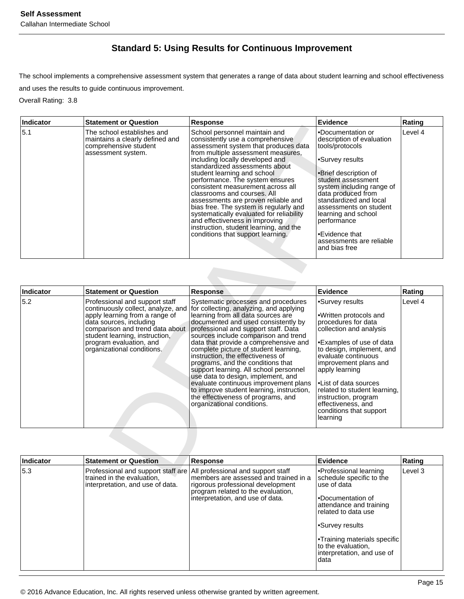# **Standard 5: Using Results for Continuous Improvement**

The school implements a comprehensive assessment system that generates a range of data about student learning and school effectiveness and uses the results to guide continuous improvement.

Overall Rating: 3.8

| Indicator | <b>Statement or Question</b>                                                                                 | Response                                                                                                                                                                                                                                                                                                                                                                                                                                                                                                                                                                                                 | Evidence                                                                                                                                                                                                                                                                                                                                           | Rating  |
|-----------|--------------------------------------------------------------------------------------------------------------|----------------------------------------------------------------------------------------------------------------------------------------------------------------------------------------------------------------------------------------------------------------------------------------------------------------------------------------------------------------------------------------------------------------------------------------------------------------------------------------------------------------------------------------------------------------------------------------------------------|----------------------------------------------------------------------------------------------------------------------------------------------------------------------------------------------------------------------------------------------------------------------------------------------------------------------------------------------------|---------|
| 15.1      | The school establishes and<br>maintains a clearly defined and<br>comprehensive student<br>assessment system. | School personnel maintain and<br>consistently use a comprehensive<br>assessment system that produces data<br>from multiple assessment measures,<br>including locally developed and<br>standardized assessments about<br>student learning and school<br>performance. The system ensures<br>consistent measurement across all<br>classrooms and courses. All<br>assessments are proven reliable and<br>bias free. The system is regularly and<br>systematically evaluated for reliability<br>and effectiveness in improving<br>instruction, student learning, and the<br>conditions that support learning. | l•Documentation or<br>description of evaluation<br>tools/protocols<br>•Survey results<br>•Brief description of<br>student assessment<br>system including range of<br>data produced from<br>standardized and local<br>assessments on student<br>learning and school<br>Iperformance<br>•Evidence that<br>lassessments are reliable<br>and bias free | Level 4 |

| muncator         | əlalement or Question                                                                                                                                                                                                                                           | Response                                                                                                                                                                                                                                                                                                                                                                                                                                                                                                                                                                                                 | cviuence                                                                                                                                                                                                                                                                                                                                        | Rauny   |
|------------------|-----------------------------------------------------------------------------------------------------------------------------------------------------------------------------------------------------------------------------------------------------------------|----------------------------------------------------------------------------------------------------------------------------------------------------------------------------------------------------------------------------------------------------------------------------------------------------------------------------------------------------------------------------------------------------------------------------------------------------------------------------------------------------------------------------------------------------------------------------------------------------------|-------------------------------------------------------------------------------------------------------------------------------------------------------------------------------------------------------------------------------------------------------------------------------------------------------------------------------------------------|---------|
| 5.1              | The school establishes and<br>maintains a clearly defined and<br>comprehensive student<br>assessment system.                                                                                                                                                    | School personnel maintain and<br>consistently use a comprehensive<br>assessment system that produces data<br>from multiple assessment measures,<br>including locally developed and<br>standardized assessments about<br>student learning and school<br>performance. The system ensures<br>consistent measurement across all<br>classrooms and courses. All<br>assessments are proven reliable and<br>bias free. The system is regularly and<br>systematically evaluated for reliability<br>and effectiveness in improving<br>instruction, student learning, and the<br>conditions that support learning. | •Documentation or<br>description of evaluation<br>tools/protocols<br>•Survey results<br>∙Brief description of<br>student assessment<br>system including range of<br>data produced from<br>standardized and local<br>assessments on student<br>learning and school<br>performance<br>•Evidence that<br>assessments are reliable<br>and bias free | Level 4 |
| Indicator        | <b>Statement or Question</b>                                                                                                                                                                                                                                    | <b>Response</b>                                                                                                                                                                                                                                                                                                                                                                                                                                                                                                                                                                                          | <b>Evidence</b>                                                                                                                                                                                                                                                                                                                                 | Rating  |
| 5.2              | Professional and support staff<br>continuously collect, analyze, and<br>apply learning from a range of<br>data sources, including<br>comparison and trend data about<br>student learning, instruction,<br>program evaluation, and<br>organizational conditions. | Systematic processes and procedures<br>for collecting, analyzing, and applying<br>learning from all data sources are<br>documented and used consistently by<br>professional and support staff. Data<br>sources include comparison and trend<br>data that provide a comprehensive and<br>complete picture of student learning,<br>instruction, the effectiveness of<br>programs, and the conditions that<br>support learning. All school personnel<br>use data to design, implement, and<br>evaluate continuous improvement plans                                                                         | •Survey results<br>•Written protocols and<br>procedures for data<br>collection and analysis<br>•Examples of use of data<br>to design, implement, and<br>evaluate continuous<br>improvement plans and<br>apply learning<br>•List of data sources                                                                                                 | Level 4 |
|                  |                                                                                                                                                                                                                                                                 | to improve student learning, instruction,<br>the effectiveness of programs, and<br>organizational conditions.                                                                                                                                                                                                                                                                                                                                                                                                                                                                                            | related to student learning,<br>instruction, program<br>effectiveness, and<br>conditions that support<br>learning                                                                                                                                                                                                                               |         |
| <b>Indicator</b> | <b>Statement or Question</b>                                                                                                                                                                                                                                    | <b>Response</b>                                                                                                                                                                                                                                                                                                                                                                                                                                                                                                                                                                                          | <b>Evidence</b>                                                                                                                                                                                                                                                                                                                                 | Rating  |

| Indicator | <b>Statement or Question</b>                                                                                                            | Response                                                                                                                                             | Evidence                                                                                                                                                                                                                                                      | Rating  |
|-----------|-----------------------------------------------------------------------------------------------------------------------------------------|------------------------------------------------------------------------------------------------------------------------------------------------------|---------------------------------------------------------------------------------------------------------------------------------------------------------------------------------------------------------------------------------------------------------------|---------|
| 5.3       | Professional and support staff are All professional and support staff<br>trained in the evaluation,<br>interpretation, and use of data. | members are assessed and trained in a<br>rigorous professional development<br>program related to the evaluation,<br>interpretation, and use of data. | •Professional learning<br>schedule specific to the<br>use of data<br>•Documentation of<br>attendance and training<br>related to data use<br>•Survey results<br><b>Training materials specific</b><br>to the evaluation.<br>interpretation, and use of<br>data | Level 3 |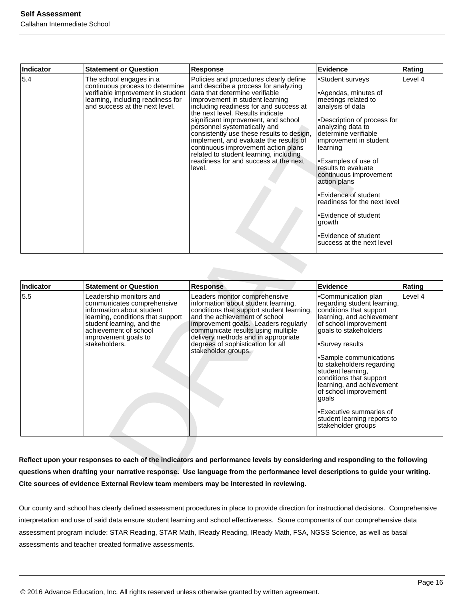| <b>Indicator</b> | <b>Statement or Question</b>                                                                                                                                           | Response                                                                                                                                                                                                                                                                                                                                                                                                                                                                                                                            | Evidence                                                                                                                                                                                                                                                                                                                                                                                                                                     | Rating  |
|------------------|------------------------------------------------------------------------------------------------------------------------------------------------------------------------|-------------------------------------------------------------------------------------------------------------------------------------------------------------------------------------------------------------------------------------------------------------------------------------------------------------------------------------------------------------------------------------------------------------------------------------------------------------------------------------------------------------------------------------|----------------------------------------------------------------------------------------------------------------------------------------------------------------------------------------------------------------------------------------------------------------------------------------------------------------------------------------------------------------------------------------------------------------------------------------------|---------|
| 5.4              | The school engages in a<br>continuous process to determine<br>verifiable improvement in student<br>learning, including readiness for<br>and success at the next level. | Policies and procedures clearly define<br>and describe a process for analyzing<br>data that determine verifiable<br>improvement in student learning<br>including readiness for and success at<br>the next level. Results indicate<br>significant improvement, and school<br>personnel systematically and<br>consistently use these results to design,<br>implement, and evaluate the results of<br>continuous improvement action plans<br>related to student learning, including<br>readiness for and success at the next<br>level. | •Student surveys<br>•Agendas, minutes of<br>meetings related to<br>analysis of data<br>•Description of process for<br>analyzing data to<br>determine verifiable<br>improvement in student<br>learning<br>•Examples of use of<br>results to evaluate<br>continuous improvement<br>action plans<br>•Evidence of student<br>readiness for the next level<br>•Evidence of student<br>growth<br>•Evidence of student<br>success at the next level | Level 4 |

|           |                                                                                                                                                                                                                        | consistently use these results to design,<br>implement, and evaluate the results of<br>continuous improvement action plans<br>related to student learning, including<br>readiness for and success at the next<br>level.                                                                                                             | analyzing data to<br>determine verifiable<br>improvement in student<br>learning<br>•Examples of use of<br>results to evaluate<br>continuous improvement<br>action plans<br>•Evidence of student<br>readiness for the next level<br>•Evidence of student<br>growth<br>•Evidence of student<br>success at the next level                                                                                                                |         |
|-----------|------------------------------------------------------------------------------------------------------------------------------------------------------------------------------------------------------------------------|-------------------------------------------------------------------------------------------------------------------------------------------------------------------------------------------------------------------------------------------------------------------------------------------------------------------------------------|---------------------------------------------------------------------------------------------------------------------------------------------------------------------------------------------------------------------------------------------------------------------------------------------------------------------------------------------------------------------------------------------------------------------------------------|---------|
| Indicator | <b>Statement or Question</b>                                                                                                                                                                                           | <b>Response</b>                                                                                                                                                                                                                                                                                                                     | <b>Evidence</b>                                                                                                                                                                                                                                                                                                                                                                                                                       | Rating  |
| 5.5       | Leadership monitors and<br>communicates comprehensive<br>information about student<br>learning, conditions that support<br>student learning, and the<br>achievement of school<br>improvement goals to<br>stakeholders. | Leaders monitor comprehensive<br>information about student learning,<br>conditions that support student learning,<br>and the achievement of school<br>improvement goals. Leaders regularly<br>communicate results using multiple<br>delivery methods and in appropriate<br>degrees of sophistication for all<br>stakeholder groups. | •Communication plan<br>regarding student learning,<br>conditions that support<br>learning, and achievement<br>of school improvement<br>goals to stakeholders<br>•Survey results<br>•Sample communications<br>to stakeholders regarding<br>student learning,<br>conditions that support<br>learning, and achievement<br>of school improvement<br>qoals<br>•Executive summaries of<br>student learning reports to<br>stakeholder groups | Level 4 |

**Reflect upon your responses to each of the indicators and performance levels by considering and responding to the following questions when drafting your narrative response. Use language from the performance level descriptions to guide your writing. Cite sources of evidence External Review team members may be interested in reviewing.**

Our county and school has clearly defined assessment procedures in place to provide direction for instructional decisions. Comprehensive interpretation and use of said data ensure student learning and school effectiveness. Some components of our comprehensive data assessment program include: STAR Reading, STAR Math, IReady Reading, IReady Math, FSA, NGSS Science, as well as basal assessments and teacher created formative assessments.